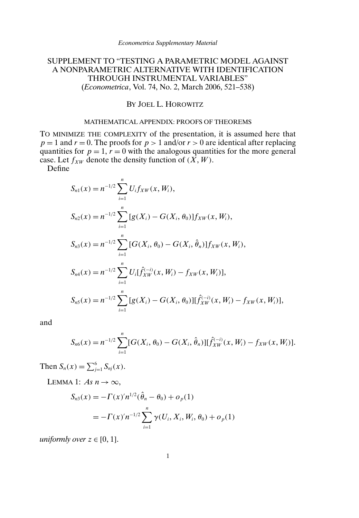# SUPPLEMENT TO "TESTING A PARAMETRIC MODEL AGAINST A NONPARAMETRIC ALTERNATIVE WITH IDENTIFICATION THROUGH INSTRUMENTAL VARIABLES" (*Econometrica*, Vol. 74, No. 2, March 2006, 521–538)

## BY JOEL L. HOROWITZ

#### MATHEMATICAL APPENDIX: PROOFS OF THEOREMS

TO MINIMIZE THE COMPLEXITY of the presentation, it is assumed here that  $p = 1$  and  $r = 0$ . The proofs for  $p > 1$  and/or  $r > 0$  are identical after replacing quantities for  $p = 1$ ,  $r = 0$  with the analogous quantities for the more general case. Let  $f_{XW}$  denote the density function of  $(\overrightarrow{X}, W)$ .

Define<sup>1</sup>

$$
S_{n1}(x) = n^{-1/2} \sum_{i=1}^{n} U_i f_{XW}(x, W_i),
$$
  
\n
$$
S_{n2}(x) = n^{-1/2} \sum_{i=1}^{n} [g(X_i) - G(X_i, \theta_0)] f_{XW}(x, W_i),
$$
  
\n
$$
S_{n3}(x) = n^{-1/2} \sum_{i=1}^{n} [G(X_i, \theta_0) - G(X_i, \hat{\theta}_n)] f_{XW}(x, W_i),
$$
  
\n
$$
S_{n4}(x) = n^{-1/2} \sum_{i=1}^{n} U_i[f_{XW}^{(-i)}(x, W_i) - f_{XW}(x, W_i)],
$$
  
\n
$$
S_{n5}(x) = n^{-1/2} \sum_{i=1}^{n} [g(X_i) - G(X_i, \theta_0)][f_{XW}^{(-i)}(x, W_i) - f_{XW}(x, W_i)],
$$

and

$$
S_{n6}(x) = n^{-1/2} \sum_{i=1}^{n} [G(X_i, \theta_0) - G(X_i, \hat{\theta}_n)][\hat{f}_{XW}^{(-i)}(x, W_i) - f_{XW}(x, W_i)].
$$

Then  $S_n(x) = \sum_{j=1}^{6} S_{nj}(x)$ .

LEMMA 1:  $As n \rightarrow \infty$ ,

$$
S_{n3}(x) = -\Gamma(x)^{n^{1/2}}(\hat{\theta}_n - \theta_0) + o_p(1)
$$
  
=  $-\Gamma(x)^{n^{-1/2}} \sum_{i=1}^n \gamma(U_i, X_i, W_i, \theta_0) + o_p(1)$ 

*uniformly over*  $z \in [0, 1]$ .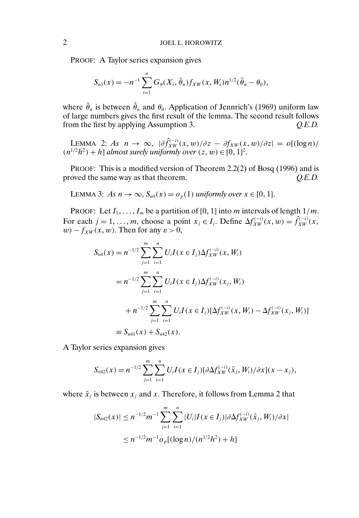PROOF: A Taylor series expansion gives

$$
S_{n3}(x) = -n^{-1} \sum_{i=1}^{n} G_{\theta}(X_i, \tilde{\theta}_n) f_{XW}(x, W_i) n^{1/2} (\hat{\theta}_n - \theta_0),
$$

where  $\tilde{\theta}_n$  is between  $\hat{\theta}_n$  and  $\theta_0$ . Application of Jennrich's (1969) uniform law of large numbers gives the first result of the lemma. The second result follows from the first by applying Assumption 3. *Q.E.D.*

LEMMA 2: *As*  $n \to \infty$ ,  $|\partial \hat{f}_{XW}^{(-i)}(x,w)/\partial z - \partial f_{XW}(x,w)/\partial z| = o[(\log n)/$  $(n^{1/2}h^2) + h$ ] *almost surely uniformly over*  $(z, w) \in [0, 1]^2$ .

PROOF: This is a modified version of Theorem 2.2(2) of Bosq (1996) and is proved the same way as that theorem. *Q.E.D.*

LEMMA 3: *As*  $n \to \infty$ ,  $S_{n4}(x) = o_p(1)$  *uniformly over*  $x \in [0, 1]$ .

PROOF: Let  $I_1, \ldots, I_m$  be a partition of [0, 1] into m intervals of length  $1/m$ . For each  $j = 1, ..., m$ , choose a point  $x_j \in I_j$ . Define  $\Delta f_{XW}^{(-i)}(x, w) = \hat{f}_{XW}^{(-i)}(x, w)$  $w$ ) –  $f_{XW}(x, w)$ . Then for any  $\varepsilon > 0$ ,

$$
S_{n4}(x) = n^{-1/2} \sum_{j=1}^{m} \sum_{i=1}^{n} U_i I(x \in I_j) \Delta f_{XW}^{(-i)}(x, W_i)
$$
  
=  $n^{-1/2} \sum_{j=1}^{m} \sum_{i=1}^{n} U_i I(x \in I_j) \Delta f_{XW}^{(-i)}(x_j, W_i)$   
+  $n^{-1/2} \sum_{j=1}^{m} \sum_{i=1}^{n} U_i I(x \in I_j) [\Delta f_{XW}^{(-i)}(x, W_i) - \Delta f_{XW}^{(-i)}(x_j, W_i)]$   
\equiv  $S_{n41}(x) + S_{n42}(x)$ .

A Taylor series expansion gives

$$
S_{n42}(x) = n^{-1/2} \sum_{j=1}^{m} \sum_{i=1}^{n} U_i I(x \in I_j) [\partial \Delta f_{XW}^{(-i)}(\tilde{x}_j, W_i) / \partial x](x - x_j),
$$

where  $\tilde{x}_i$  is between  $x_i$  and x. Therefore, it follows from Lemma 2 that

$$
|S_{n42}(x)| \le n^{-1/2} m^{-1} \sum_{j=1}^m \sum_{i=1}^n |U_i| I(x \in I_j) | \partial \Delta f_{XW}^{(-i)}(\tilde{x}_j, W_i) / \partial x|
$$
  

$$
\le n^{-1/2} m^{-1} o_p [(\log n) / (n^{1/2} h^2) + h]
$$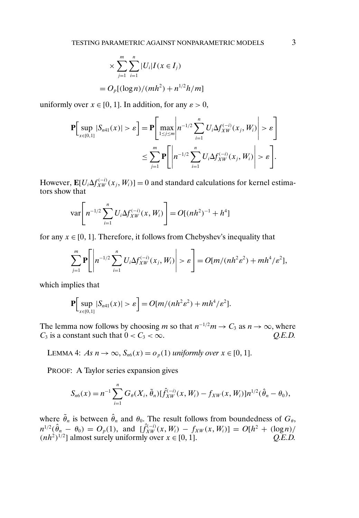$$
\times \sum_{j=1}^{m} \sum_{i=1}^{n} |U_i| I(x \in I_j)
$$
  
=  $O_p[(\log n)/(mh^2) + n^{1/2}h/m]$ 

uniformly over  $x \in [0, 1]$ . In addition, for any  $\varepsilon > 0$ ,

$$
\mathbf{P}\Big[\sup_{x\in[0,1]}|S_{n41}(x)|>\varepsilon\Big]=\mathbf{P}\Big[\max_{1\leq j\leq m}\Bigg|n^{-1/2}\sum_{i=1}^nU_i\Delta f_{XW}^{(-i)}(x_j,W_i)\Bigg|>\varepsilon\Bigg]
$$

$$
\leq \sum_{j=1}^m\mathbf{P}\Bigg[\Bigg|n^{-1/2}\sum_{i=1}^nU_i\Delta f_{XW}^{(-i)}(x_j,W_i)\Bigg|>\varepsilon\Bigg].
$$

However,  $\mathbf{E}[U_i \Delta f_{XW}^{(-i)}(x_j, W_i)] = 0$  and standard calculations for kernel estimators show that

$$
\text{var}\bigg[n^{-1/2}\sum_{i=1}^n U_i \Delta f_{XW}^{(-i)}(x, W_i)\bigg] = O[(nh^2)^{-1} + h^4]
$$

for any  $x \in [0, 1]$ . Therefore, it follows from Chebyshev's inequality that

$$
\sum_{j=1}^m \mathbf{P}\left[\left|n^{-1/2}\sum_{i=1}^n U_i \Delta f_{XW}^{(-i)}(x_j, W_i)\right| > \varepsilon\right] = O[m/(nh^2\varepsilon^2) + mh^4/\varepsilon^2],
$$

which implies that

$$
\mathbf{P}\Big[\sup_{x\in[0,1]}|S_{n41}(x)|>\varepsilon\Big]=O[m/(nh^2\varepsilon^2)+mh^4/\varepsilon^2].
$$

The lemma now follows by choosing m so that  $n^{-1/2}m \to C_3$  as  $n \to \infty$ , where  $C_3$  is a constant such that  $0 < C_3 < \infty$ .  $Q.E.D.$ 

LEMMA 4: *As*  $n \to \infty$ ,  $S_{n6}(x) = o_p(1)$  *uniformly over*  $x \in [0, 1]$ .

PROOF: A Taylor series expansion gives

$$
S_{n6}(x) = n^{-1} \sum_{i=1}^{n} G_{\theta}(X_i, \tilde{\theta}_n) [\hat{f}_{XW}^{(-i)}(x, W_i) - f_{XW}(x, W_i)] n^{1/2} (\hat{\theta}_n - \theta_0),
$$

where  $\tilde{\theta}_n$  is between  $\hat{\theta}_n$  and  $\theta_0$ . The result follows from boundedness of  $G_\theta$ ,  $n^{1/2}(\hat{\theta}_n - \theta_0) = O_p(1)$ , and  $[\hat{f}_{XW}^{(-i)}(x, W_i) - f_{XW}(x, W_i)] = O[h^2 + (\log n)/2]$  $(nh^2)^{1/2}$ ] almost surely uniformly over  $x \in [0, 1]$ .  $Q.E.D.$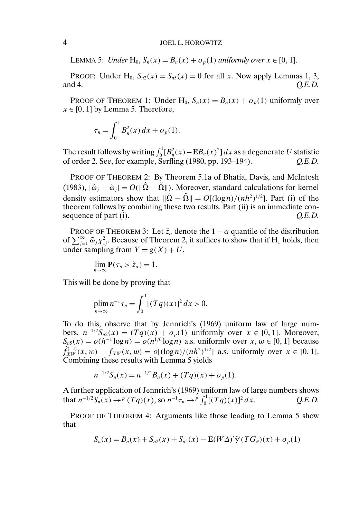### 4 JOEL L. HOROWITZ

LEMMA 5: *Under*  $H_0$ ,  $S_n(x) = B_n(x) + o_p(1)$  *uniformly over*  $x \in [0, 1]$ .

PROOF: Under H<sub>0</sub>,  $S_{n2}(x) = S_{n5}(x) = 0$  for all x. Now apply Lemmas 1, 3, and 4. Q.E.D. and 4. *Q.E.D.*

PROOF OF THEOREM 1: Under H<sub>0</sub>,  $S_n(x) = B_n(x) + o_n(1)$  uniformly over  $x \in [0, 1]$  by Lemma 5. Therefore,

$$
\tau_n = \int_0^1 B_n^2(x) \, dx + o_p(1).
$$

The result follows by writing  $\int_0^1 [B_n^2(x) - \mathbf{E} B_n(x)^2] dx$  as a degenerate U statistic of order 2. See, for example, Serfling (1980, pp. 193–194). *Q.E.D.*

PROOF OF THEOREM 2: By Theorem 5.1a of Bhatia, Davis, and McIntosh (1983),  $|\hat{\omega}_i - \tilde{\omega}_i| = O(||\hat{\Omega} - \tilde{\Omega}||)$ . Moreover, standard calculations for kernel density estimators show that  $\|\Omega - \Omega\| = O[(\log n)/(nh^2)^{1/2}]$ . Part (i) of the theorem follows by combining these two results. Part (ii) is an immediate consequence of part (i).  $Q.E.D.$ 

PROOF OF THEOREM 3: Let  $\tilde{z}_\alpha$  denote the  $1 - \alpha$  quantile of the distribution of  $\sum_{j=1}^{\infty} \tilde{\omega}_j \chi_{1j}^2$ . Because of Theorem 2, it suffices to show that if H<sub>1</sub> holds, then under sampling from  $Y = g(X) + U$ ,

$$
\lim_{n\to\infty}\mathbf{P}(\tau_n>\tilde{z}_\alpha)=1.
$$

This will be done by proving that

$$
\lim_{n\to\infty} n^{-1}\tau_n = \int_0^1 [(Tq)(x)]^2 dx > 0.
$$

To do this, observe that by Jennrich's (1969) uniform law of large numbers,  $n^{-1/2}S_{n2}(x) = (Tq)(x) + o_p(1)$  uniformly over  $x \in [0, 1]$ . Moreover,  $S_{n5}(x) = o(h^{-1} \log n) = o(n^{1/6} \log n)$  a.s. uniformly over  $x, w \in [0, 1]$  because  $\hat{f}_{XW}^{(-i)}(x, w) - f_{XW}(x, w) = o[(\log n)/(nh^2)^{1/2}]$  a.s. uniformly over  $x \in [0, 1]$ . Combining these results with Lemma 5 yields

$$
n^{-1/2}S_n(x) = n^{-1/2}B_n(x) + (Tq)(x) + o_p(1).
$$

A further application of Jennrich's (1969) uniform law of large numbers shows that  $n^{-1/2}S_n(x) \to^p (Tq)(x)$ , so  $n^{-1}\tau_n \to^p \int_0^1 [(Tq)(x)]$ <sup>2</sup> dx. *Q.E.D.*

PROOF OF THEOREM 4: Arguments like those leading to Lemma 5 show that

$$
S_n(x) = B_n(x) + S_{n2}(x) + S_{n5}(x) - E(W\Delta)'\tilde{\gamma}'(TG_\theta)(x) + o_p(1)
$$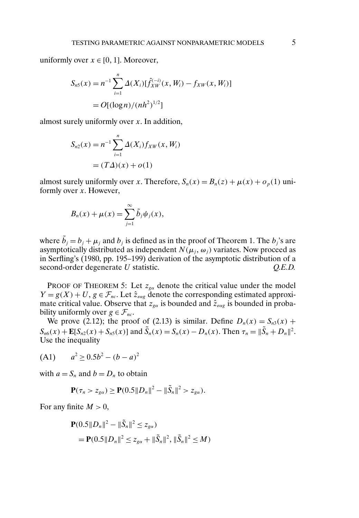uniformly over  $x \in [0, 1]$ . Moreover,

$$
S_{n5}(x) = n^{-1} \sum_{i=1}^{n} \Delta(X_i) [\hat{f}_{XW}^{(-i)}(x, W_i) - f_{XW}(x, W_i)]
$$
  
=  $O[(\log n)/(nh^2)^{1/2}]$ 

almost surely uniformly over x. In addition,

$$
S_{n2}(x) = n^{-1} \sum_{i=1}^{n} \Delta(X_i) f_{XW}(x, W_i)
$$
  
=  $(T\Delta)(x) + o(1)$ 

almost surely uniformly over x. Therefore,  $S_n(x) = B_n(z) + \mu(x) + o_n(1)$  uniformly over  $x$ . However,

$$
B_n(x) + \mu(x) = \sum_{j=1}^{\infty} \tilde{b}_j \psi_j(x),
$$

where  $b_j = b_j + \mu_j$  and  $b_j$  is defined as in the proof of Theorem 1. The  $b_j$ 's are asymptotically distributed as independent  $N(\mu_i, \omega_j)$  variates. Now proceed as in Serfling's (1980, pp. 195–199) derivation of the asymptotic distribution of a second-order degenerate U statistic.  $Q.E.D.$ 

PROOF OF THEOREM 5: Let  $z_{\text{ga}}$  denote the critical value under the model  $Y = g(X) + U$ ,  $g \in \mathcal{F}_{nc}$ . Let  $\hat{z}_{\text{eag}}$  denote the corresponding estimated approximate critical value. Observe that  $z_{g\alpha}$  is bounded and  $\hat{z}_{\epsilon\alpha g}$  is bounded in probability uniformly over  $g \in \mathcal{F}_{nc}$ .

We prove (2.12); the proof of (2.13) is similar. Define  $D_n(x) = S_{n3}(x) +$  $S_{n6}(x) + \mathbf{E}[S_{n2}(x) + S_{n5}(x)]$  and  $S_n(x) = S_n(x) - D_n(x)$ . Then  $\tau_n = ||S_n + D_n||^2$ . Use the inequality

(A1)  $a^2 > 0.5b^2 - (b - a)^2$ 

with  $a = S_n$  and  $b = D_n$  to obtain

$$
\mathbf{P}(\tau_n > z_{g\alpha}) \geq \mathbf{P}(0.5||D_n||^2 - ||\tilde{S}_n||^2 > z_{g\alpha}).
$$

For any finite  $M > 0$ ,

$$
\mathbf{P}(0.5||D_n||^2 - ||\tilde{S}_n||^2 \le z_{g\alpha})
$$
  
=  $\mathbf{P}(0.5||D_n||^2 \le z_{g\alpha} + ||\tilde{S}_n||^2, ||\tilde{S}_n||^2 \le M)$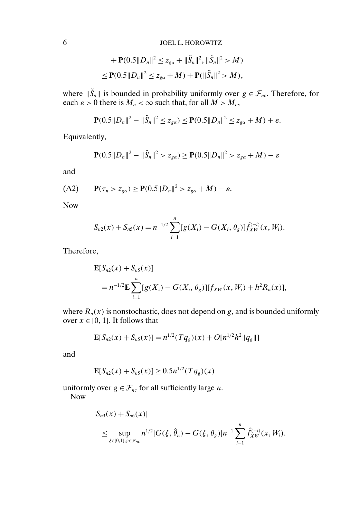+ 
$$
\mathbf{P}(0.5||D_n||^2 \leq z_{g\alpha} + ||\tilde{S}_n||^2, ||\tilde{S}_n||^2 > M)
$$
  
\n $\leq \mathbf{P}(0.5||D_n||^2 \leq z_{g\alpha} + M) + \mathbf{P}(||\tilde{S}_n||^2 > M),$ 

where  $||S_n||$  is bounded in probability uniformly over  $g \in \mathcal{F}_{nc}$ . Therefore, for each  $\varepsilon > 0$  there is  $M_{\varepsilon} < \infty$  such that, for all  $M > M_{\varepsilon}$ ,

$$
\mathbf{P}(0.5||D_n||^2 - ||\tilde{S}_n||^2 \le z_{g\alpha}) \le \mathbf{P}(0.5||D_n||^2 \le z_{g\alpha} + M) + \varepsilon.
$$

Equivalently,

$$
\mathbf{P}(0.5||D_n||^2 - ||\tilde{S}_n||^2 > z_{g\alpha}) \ge \mathbf{P}(0.5||D_n||^2 > z_{g\alpha} + M) - \varepsilon
$$

and

$$
\text{(A2)} \qquad \mathbf{P}(\tau_n > z_{g\alpha}) \ge \mathbf{P}(0.5\|D_n\|^2 > z_{g\alpha} + M) - \varepsilon.
$$

Now

$$
S_{n2}(x) + S_{n5}(x) = n^{-1/2} \sum_{i=1}^{n} [g(X_i) - G(X_i, \theta_g)] \hat{f}_{XW}^{(-i)}(x, W_i).
$$

Therefore,

$$
\mathbf{E}[S_{n2}(x) + S_{n5}(x)]
$$
  
=  $n^{-1/2}\mathbf{E}\sum_{i=1}^n [g(X_i) - G(X_i, \theta_g)][f_{XW}(x, W_i) + h^2 R_n(x)],$ 

where  $R_n(x)$  is nonstochastic, does not depend on g, and is bounded uniformly over  $x \in [0, 1]$ . It follows that

$$
\mathbf{E}[S_{n2}(x) + S_{n5}(x)] = n^{1/2}(Tq_g)(x) + O[n^{1/2}h^2||q_g||]
$$

and

$$
\mathbf{E}[S_{n2}(x) + S_{n5}(x)] \ge 0.5n^{1/2}(Tq_g)(x)
$$

uniformly over  $g \in \mathcal{F}_{nc}$  for all sufficiently large *n*. Now

$$
|S_{n3}(x) + S_{n6}(x)|
$$
  
\n
$$
\leq \sup_{\xi \in [0,1], g \in \mathcal{F}_{nc}} n^{1/2} |G(\xi, \hat{\theta}_n) - G(\xi, \theta_g)| n^{-1} \sum_{i=1}^n \hat{f}_{XW}^{(-i)}(x, W_i).
$$